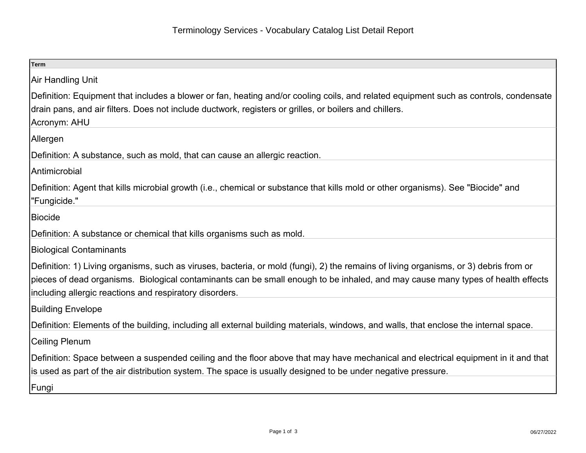| <b>Term</b>                                                                                                                                                                                                                                                                                                                         |
|-------------------------------------------------------------------------------------------------------------------------------------------------------------------------------------------------------------------------------------------------------------------------------------------------------------------------------------|
| Air Handling Unit                                                                                                                                                                                                                                                                                                                   |
| Definition: Equipment that includes a blower or fan, heating and/or cooling coils, and related equipment such as controls, condensate<br>drain pans, and air filters. Does not include ductwork, registers or grilles, or boilers and chillers.<br>Acronym: AHU                                                                     |
| Allergen                                                                                                                                                                                                                                                                                                                            |
| Definition: A substance, such as mold, that can cause an allergic reaction.                                                                                                                                                                                                                                                         |
| Antimicrobial                                                                                                                                                                                                                                                                                                                       |
| Definition: Agent that kills microbial growth (i.e., chemical or substance that kills mold or other organisms). See "Biocide" and<br>"Fungicide."                                                                                                                                                                                   |
| <b>Biocide</b>                                                                                                                                                                                                                                                                                                                      |
| Definition: A substance or chemical that kills organisms such as mold.                                                                                                                                                                                                                                                              |
| <b>Biological Contaminants</b>                                                                                                                                                                                                                                                                                                      |
| Definition: 1) Living organisms, such as viruses, bacteria, or mold (fungi), 2) the remains of living organisms, or 3) debris from or<br>pieces of dead organisms. Biological contaminants can be small enough to be inhaled, and may cause many types of health effects<br>including allergic reactions and respiratory disorders. |
| <b>Building Envelope</b>                                                                                                                                                                                                                                                                                                            |
| Definition: Elements of the building, including all external building materials, windows, and walls, that enclose the internal space.                                                                                                                                                                                               |
| Ceiling Plenum                                                                                                                                                                                                                                                                                                                      |
| Definition: Space between a suspended ceiling and the floor above that may have mechanical and electrical equipment in it and that<br>is used as part of the air distribution system. The space is usually designed to be under negative pressure.                                                                                  |
| Fungi                                                                                                                                                                                                                                                                                                                               |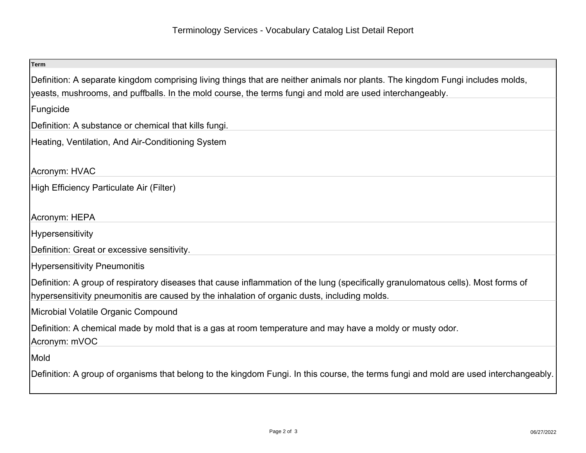| <b>Term</b>                                                                                                                           |
|---------------------------------------------------------------------------------------------------------------------------------------|
| Definition: A separate kingdom comprising living things that are neither animals nor plants. The kingdom Fungi includes molds,        |
| yeasts, mushrooms, and puffballs. In the mold course, the terms fungi and mold are used interchangeably.                              |
| Fungicide                                                                                                                             |
| Definition: A substance or chemical that kills fungi.                                                                                 |
| Heating, Ventilation, And Air-Conditioning System                                                                                     |
| Acronym: HVAC                                                                                                                         |
| High Efficiency Particulate Air (Filter)                                                                                              |
|                                                                                                                                       |
| Acronym: HEPA                                                                                                                         |
| Hypersensitivity                                                                                                                      |
| Definition: Great or excessive sensitivity.                                                                                           |
| <b>Hypersensitivity Pneumonitis</b>                                                                                                   |
| Definition: A group of respiratory diseases that cause inflammation of the lung (specifically granulomatous cells). Most forms of     |
| hypersensitivity pneumonitis are caused by the inhalation of organic dusts, including molds.                                          |
| Microbial Volatile Organic Compound                                                                                                   |
| Definition: A chemical made by mold that is a gas at room temperature and may have a moldy or musty odor.                             |
| Acronym: mVOC                                                                                                                         |
| Mold                                                                                                                                  |
| Definition: A group of organisms that belong to the kingdom Fungi. In this course, the terms fungi and mold are used interchangeably. |